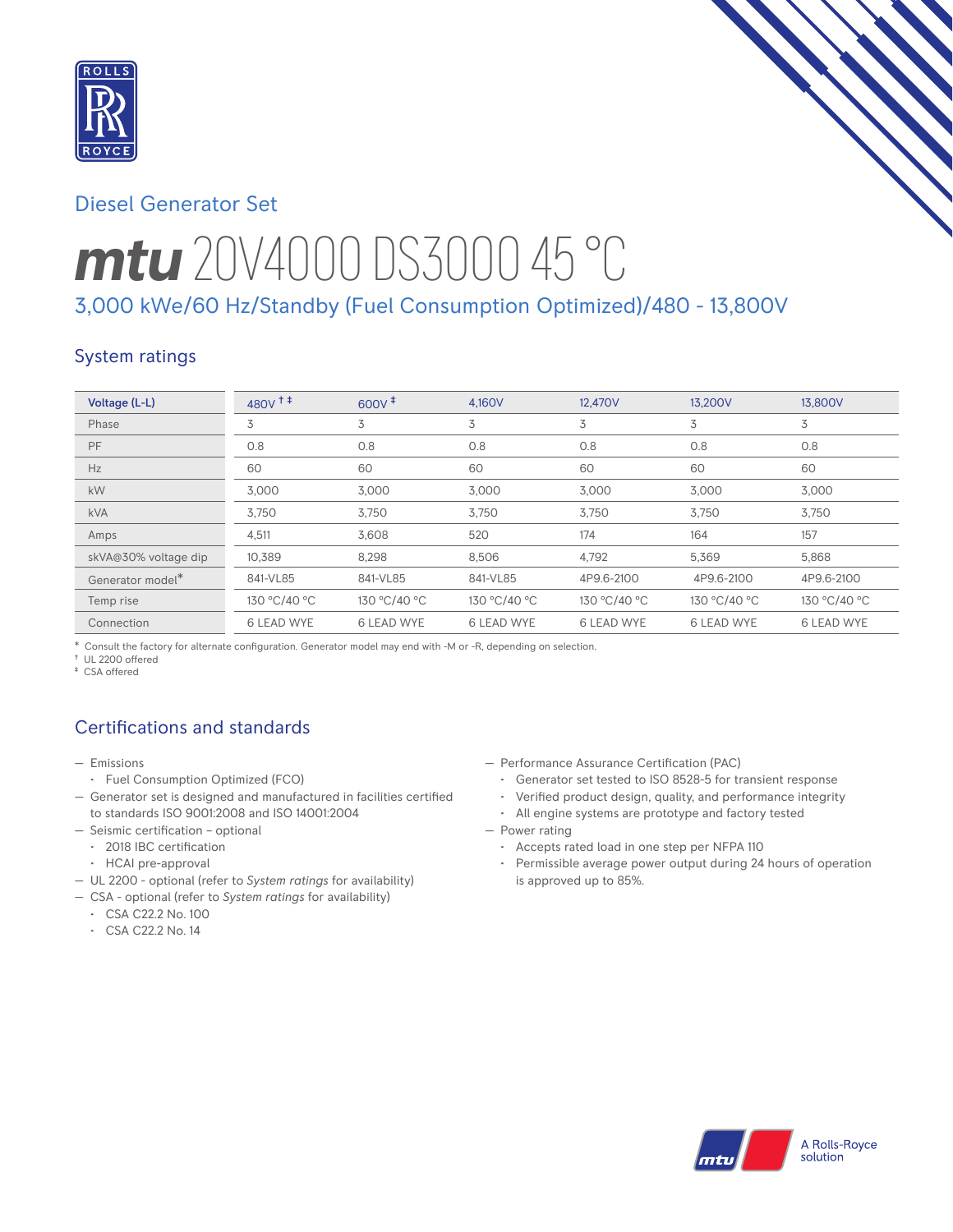

# Diesel Generator Set

# *mtu* 20V4000 DS3000 45 °C 3,000 kWe/60 Hz/Standby (Fuel Consumption Optimized)/480 - 13,800V

## System ratings

| Voltage (L-L)        | $480V$ <sup>++</sup> | $600V^{\ddagger}$ | 4.160V            | 12.470V           | 13.200V           | 13,800V      |
|----------------------|----------------------|-------------------|-------------------|-------------------|-------------------|--------------|
| Phase                | 3                    | 3                 | 3                 | 3                 | 3                 | 3            |
| PF                   | 0.8                  | 0.8               | 0.8               | 0.8               | 0.8               | 0.8          |
| Hz                   | 60                   | 60                | 60                | 60                | 60                | 60           |
| kW                   | 3.000                | 3,000             | 3.000             | 3.000             | 3.000             | 3.000        |
| <b>kVA</b>           | 3.750                | 3,750             | 3,750             | 3,750             | 3,750             | 3,750        |
| Amps                 | 4,511                | 3,608             | 520               | 174               | 164               | 157          |
| skVA@30% voltage dip | 10,389               | 8,298             | 8,506             | 4,792             | 5,369             | 5,868        |
| Generator model*     | 841-VL85             | 841-VL85          | 841-VL85          | 4P9.6-2100        | 4P9.6-2100        | 4P9.6-2100   |
| Temp rise            | 130 °C/40 °C         | 130 °C/40 °C      | 130 °C/40 °C      | 130 °C/40 °C      | 130 °C/40 °C      | 130 °C/40 °C |
| Connection           | 6 LEAD WYE           | 6 LEAD WYE        | <b>6 LEAD WYE</b> | <b>6 LEAD WYE</b> | <b>6 LEAD WYE</b> | 6 LEAD WYE   |

\* Consult the factory for alternate configuration. Generator model may end with -M or -R, depending on selection.

† UL 2200 offered

‡ CSA offered

# Certifications and standards

- Emissions
	- Fuel Consumption Optimized (FCO)
- Generator set is designed and manufactured in facilities certified to standards ISO 9001:2008 and ISO 14001:2004
- Seismic certification optional
	- 2018 IBC certification
	- HCAI pre-approval
- UL 2200 optional (refer to *System ratings* for availability)
- CSA optional (refer to *System ratings* for availability)
- CSA C22.2 No. 100
- CSA C22.2 No. 14
- Performance Assurance Certification (PAC)
	- Generator set tested to ISO 8528-5 for transient response
	- Verified product design, quality, and performance integrity
	- All engine systems are prototype and factory tested
- Power rating
	- Accepts rated load in one step per NFPA 110
	- Permissible average power output during 24 hours of operation is approved up to 85%.

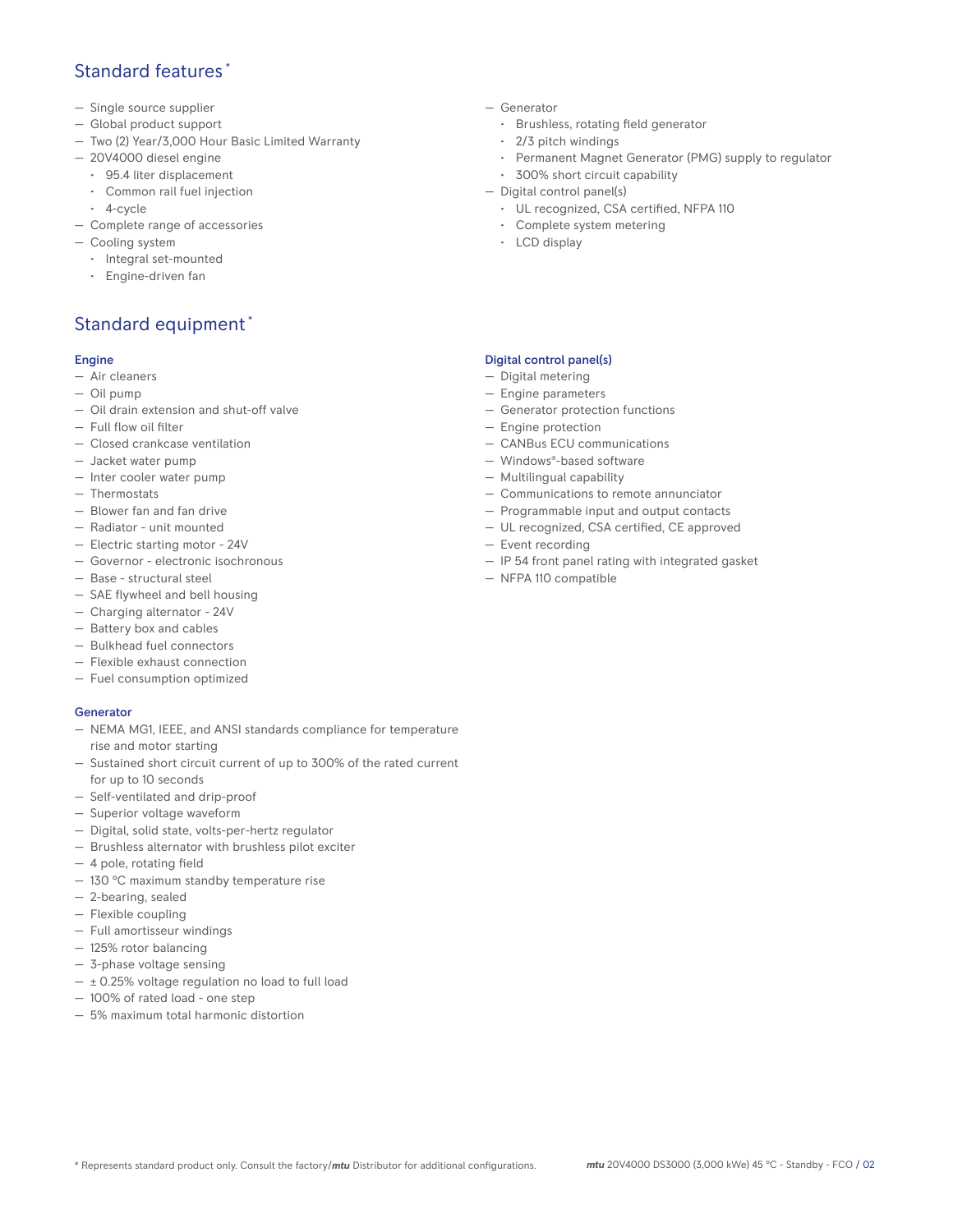## Standard features \*

- Single source supplier
- Global product support
- Two (2) Year/3,000 Hour Basic Limited Warranty
- 20V4000 diesel engine
	- 95.4 liter displacement
	- Common rail fuel injection
- 4-cycle
- Complete range of accessories
- Cooling system
	- Integral set-mounted
	- Engine-driven fan

# Standard equipment \*

#### Engine

- Air cleaners
- Oil pump
- Oil drain extension and shut-off valve
- Full flow oil filter
- Closed crankcase ventilation
- Jacket water pump
- Inter cooler water pump
- Thermostats
- Blower fan and fan drive
- Radiator unit mounted
- Electric starting motor 24V
- Governor electronic isochronous
- Base structural steel
- SAE flywheel and bell housing
- Charging alternator 24V
- Battery box and cables
- Bulkhead fuel connectors
- Flexible exhaust connection
- Fuel consumption optimized

#### **Generator**

- NEMA MG1, IEEE, and ANSI standards compliance for temperature rise and motor starting
- Sustained short circuit current of up to 300% of the rated current for up to 10 seconds
- Self-ventilated and drip-proof
- Superior voltage waveform
- Digital, solid state, volts-per-hertz regulator
- Brushless alternator with brushless pilot exciter
- 4 pole, rotating field
- 130 °C maximum standby temperature rise
- 2-bearing, sealed
- Flexible coupling
- Full amortisseur windings
- 125% rotor balancing
- 3-phase voltage sensing
- $\pm$  0.25% voltage regulation no load to full load
- 100% of rated load one step
- 5% maximum total harmonic distortion
- Generator
	- Brushless, rotating field generator
	- 2/3 pitch windings
	- Permanent Magnet Generator (PMG) supply to regulator
- 300% short circuit capability
- Digital control panel(s)
	- UL recognized, CSA certified, NFPA 110
	- Complete system metering
	- LCD display

#### Digital control panel(s)

- Digital metering
- Engine parameters
- Generator protection functions
- Engine protection
- CANBus ECU communications
- Windows®-based software
- Multilingual capability
- Communications to remote annunciator
- Programmable input and output contacts
- UL recognized, CSA certified, CE approved
- Event recording
- IP 54 front panel rating with integrated gasket
- NFPA 110 compatible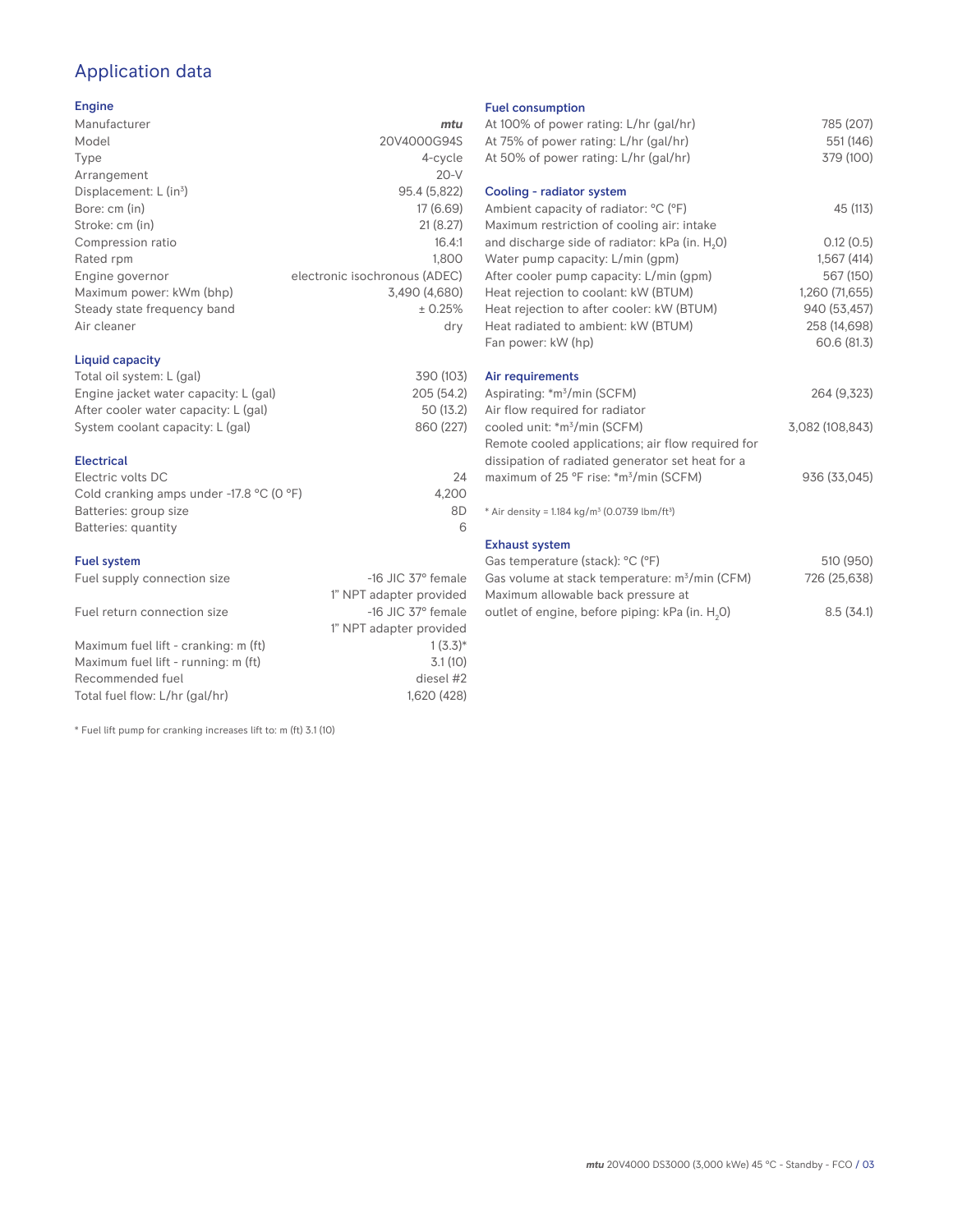# Application data

#### Engine

| Manufacturer                         | mtu                           |
|--------------------------------------|-------------------------------|
| Model                                | 20V4000G94S                   |
| Type                                 | 4-cycle                       |
| Arrangement                          | $20-V$                        |
| Displacement: $L$ (in <sup>3</sup> ) | 95.4 (5,822)                  |
| Bore: cm (in)                        | 17 (6.69)                     |
| Stroke: cm (in)                      | 21(8.27)                      |
| Compression ratio                    | 16.4:1                        |
| Rated rpm                            | 1.800                         |
| Engine governor                      | electronic isochronous (ADEC) |
| Maximum power: kWm (bhp)             | 3,490 (4,680)                 |
| Steady state frequency band          | ± 0.25%                       |
| Air cleaner                          | dry                           |
|                                      |                               |

#### Liquid capacity

| Total oil system: L (gal)             | 390 (103)  |
|---------------------------------------|------------|
| Engine jacket water capacity: L (gal) | 205 (54.2) |
| After cooler water capacity: L (gal)  | 50 (13.2)  |
| System coolant capacity: L (gal)      | 860 (227)  |
|                                       |            |

#### Electrical

| Electric volts DC                                            | 24    |
|--------------------------------------------------------------|-------|
| Cold cranking amps under -17.8 $^{\circ}$ C (O $^{\circ}$ F) | 4.200 |
| Batteries: group size                                        | 8D    |
| Batteries: quantity                                          |       |

#### Fuel system

| Fuel supply connection size          | $-16$ JIC 37 $\degree$ female |
|--------------------------------------|-------------------------------|
|                                      | 1" NPT adapter provided       |
| Fuel return connection size          | $-16$ JIC 37 $\degree$ female |
|                                      | 1" NPT adapter provided       |
| Maximum fuel lift - cranking: m (ft) | $1(3.3)*$                     |
| Maximum fuel lift - running: m (ft)  | 3.1(10)                       |
| Recommended fuel                     | diesel #2                     |
| Total fuel flow: L/hr (gal/hr)       | 1,620 (428)                   |

\* Fuel lift pump for cranking increases lift to: m (ft) 3.1 (10)

#### Fuel consumption

| At 100% of power rating: L/hr (gal/hr)<br>At 75% of power rating: L/hr (gal/hr) | 785 (207)<br>551 (146) |
|---------------------------------------------------------------------------------|------------------------|
| At 50% of power rating: L/hr (gal/hr)<br>Cooling - radiator system              | 379 (100)              |
|                                                                                 |                        |
| Ambient capacity of radiator: °C (°F)                                           | 45 (113)               |
| Maximum restriction of cooling air: intake                                      |                        |
| and discharge side of radiator: kPa (in. H <sub>2</sub> O)                      | 0.12(0.5)              |
| Water pump capacity: L/min (gpm)                                                | 1,567(414)             |
| After cooler pump capacity: L/min (gpm)                                         | 567 (150)              |
| Heat rejection to coolant: kW (BTUM)                                            | 1,260 (71,655)         |
| Heat rejection to after cooler: kW (BTUM)                                       | 940 (53,457)           |
| Heat radiated to ambient: kW (BTUM)                                             | 258 (14,698)           |
| Fan power: kW (hp)                                                              | 60.6 (81.3)            |
|                                                                                 |                        |
| Air requirements                                                                |                        |
| Aspirating: *m <sup>3</sup> /min (SCFM)                                         | 264 (9,323)            |
| Air flow required for radiator                                                  |                        |
| cooled unit: *m <sup>3</sup> /min (SCFM)                                        | 3,082 (108,843)        |
| Remote cooled applications; air flow required for                               |                        |
| dissipation of radiated generator set heat for a                                |                        |
| maximum of 25 °F rise: *m <sup>3</sup> /min (SCFM)                              | 936 (33,045)           |
|                                                                                 |                        |
| * Air density = $1.184 \text{ kg/m}^3$ (0.0739 lbm/ft <sup>3</sup> )            |                        |
| <b>Exhaust system</b>                                                           |                        |
| Gas temperature (stack): °C (°F)                                                | 510 (950)              |
| Gas volume at stack temperature: m <sup>3</sup> /min (CFM)                      | 726 (25,638)           |

| Gas volume at stack temperature: m <sup>3</sup> /min (CFM)  | 726 (25,638) |
|-------------------------------------------------------------|--------------|
| Maximum allowable back pressure at                          |              |
| outlet of engine, before piping: kPa (in. H <sub>2</sub> O) | 8.5(34.1)    |